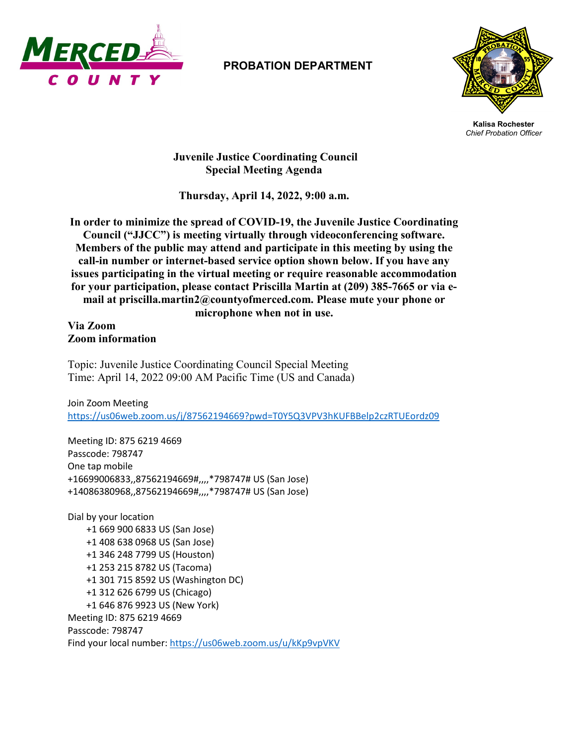

## **PROBATION DEPARTMENT**



**Kalisa Rochester** *Chief Probation Officer*

**Juvenile Justice Coordinating Council Special Meeting Agenda**

**Thursday, April 14, 2022, 9:00 a.m.** 

**In order to minimize the spread of COVID-19, the Juvenile Justice Coordinating Council ("JJCC") is meeting virtually through videoconferencing software. Members of the public may attend and participate in this meeting by using the call-in number or internet-based service option shown below. If you have any issues participating in the virtual meeting or require reasonable accommodation for your participation, please contact Priscilla Martin at (209) 385-7665 or via email at priscilla.martin2@countyofmerced.com. Please mute your phone or microphone when not in use.**

**Via Zoom Zoom information**

Topic: Juvenile Justice Coordinating Council Special Meeting Time: April 14, 2022 09:00 AM Pacific Time (US and Canada)

Join Zoom Meeting <https://us06web.zoom.us/j/87562194669?pwd=T0Y5Q3VPV3hKUFBBelp2czRTUEordz09>

Meeting ID: 875 6219 4669 Passcode: 798747 One tap mobile +16699006833,,87562194669#,,,,\*798747# US (San Jose) +14086380968,,87562194669#,,,,\*798747# US (San Jose)

Dial by your location +1 669 900 6833 US (San Jose) +1 408 638 0968 US (San Jose) +1 346 248 7799 US (Houston) +1 253 215 8782 US (Tacoma) +1 301 715 8592 US (Washington DC) +1 312 626 6799 US (Chicago) +1 646 876 9923 US (New York) Meeting ID: 875 6219 4669 Passcode: 798747 Find your local number[: https://us06web.zoom.us/u/kKp9vpVKV](https://us06web.zoom.us/u/kKp9vpVKV)